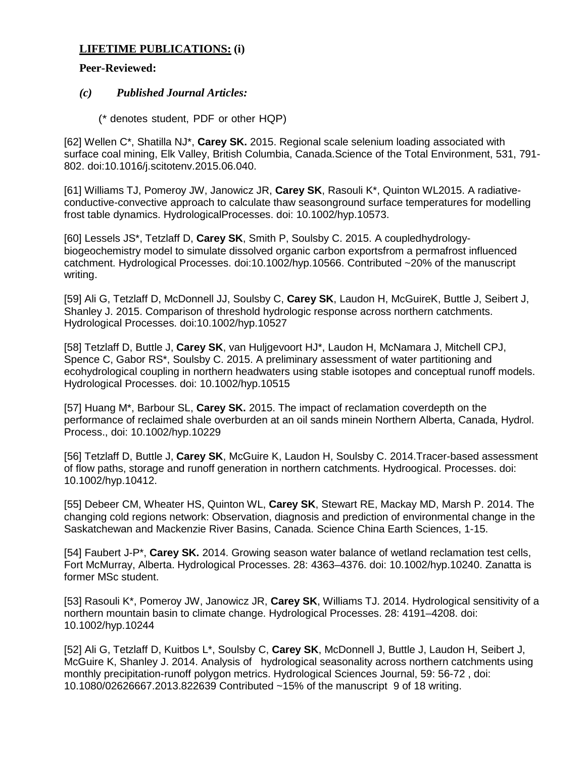## **LIFETIME PUBLICATIONS: (i)**

## **Peer-Reviewed:**

## *(c) Published Journal Articles:*

(\* denotes student, PDF or other HQP)

[62] Wellen C\*, Shatilla NJ\*, **Carey SK.** 2015. Regional scale selenium loading associated with surface coal mining, Elk Valley, British Columbia, Canada.Science of the Total Environment, 531, 791- 802. doi:10.1016/j.scitotenv.2015.06.040.

[61] Williams TJ, Pomeroy JW, Janowicz JR, **Carey SK**, Rasouli K\*, Quinton WL2015. A radiativeconductive-convective approach to calculate thaw seasonground surface temperatures for modelling frost table dynamics. HydrologicalProcesses. doi: 10.1002/hyp.10573.

[60] Lessels JS\*, Tetzlaff D, **Carey SK**, Smith P, Soulsby C. 2015. A coupledhydrologybiogeochemistry model to simulate dissolved organic carbon exportsfrom a permafrost influenced catchment. Hydrological Processes. doi:10.1002/hyp.10566. Contributed ~20% of the manuscript writing.

[59] Ali G, Tetzlaff D, McDonnell JJ, Soulsby C, **Carey SK**, Laudon H, McGuireK, Buttle J, Seibert J, Shanley J. 2015. Comparison of threshold hydrologic response across northern catchments. Hydrological Processes. doi:10.1002/hyp.10527

[58] Tetzlaff D, Buttle J, **Carey SK**, van Huljgevoort HJ\*, Laudon H, McNamara J, Mitchell CPJ, Spence C, Gabor RS\*, Soulsby C. 2015. A preliminary assessment of water partitioning and ecohydrological coupling in northern headwaters using stable isotopes and conceptual runoff models. Hydrological Processes. doi: 10.1002/hyp.10515

[57] Huang M\*, Barbour SL, **Carey SK.** 2015. The impact of reclamation coverdepth on the performance of reclaimed shale overburden at an oil sands minein Northern Alberta, Canada, Hydrol. Process., doi: 10.1002/hyp.10229

[56] Tetzlaff D, Buttle J, **Carey SK**, McGuire K, Laudon H, Soulsby C. 2014.Tracer-based assessment of flow paths, storage and runoff generation in northern catchments. Hydroogical. Processes. doi: 10.1002/hyp.10412.

[55] Debeer CM, Wheater HS, Quinton WL, **Carey SK**, Stewart RE, Mackay MD, Marsh P. 2014. The changing cold regions network: Observation, diagnosis and prediction of environmental change in the Saskatchewan and Mackenzie River Basins, Canada. Science China Earth Sciences, 1-15.

[54] Faubert J-P\*, **Carey SK.** 2014. Growing season water balance of wetland reclamation test cells, Fort McMurray, Alberta. Hydrological Processes. 28: 4363–4376. doi: 10.1002/hyp.10240. Zanatta is former MSc student.

[53] Rasouli K\*, Pomeroy JW, Janowicz JR, **Carey SK**, Williams TJ. 2014. Hydrological sensitivity of a northern mountain basin to climate change. Hydrological Processes. 28: 4191–4208. doi: 10.1002/hyp.10244

[52] Ali G, Tetzlaff D, Kuitbos L\*, Soulsby C, **Carey SK**, McDonnell J, Buttle J, Laudon H, Seibert J, McGuire K, Shanley J. 2014. Analysis of hydrological seasonality across northern catchments using monthly precipitation-runoff polygon metrics. Hydrological Sciences Journal, 59: 56-72 , doi: 10.1080/02626667.2013.822639 Contributed ~15% of the manuscript 9 of 18 writing.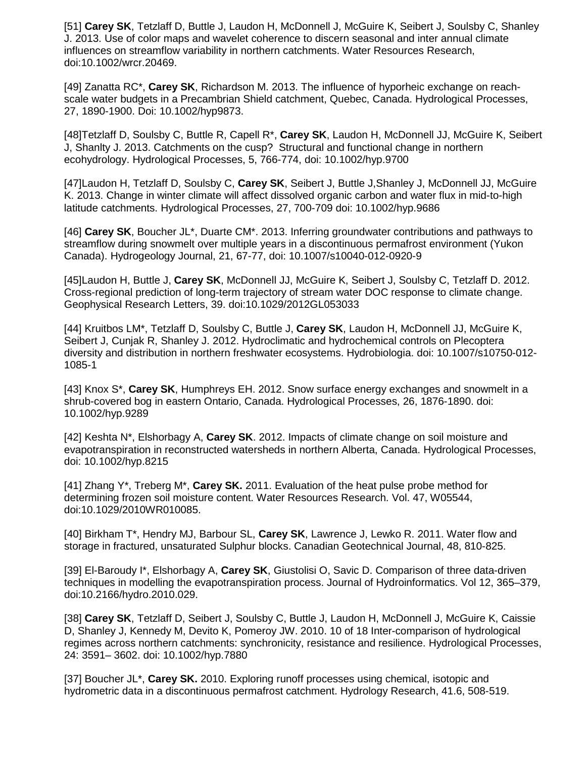[51] **Carey SK**, Tetzlaff D, Buttle J, Laudon H, McDonnell J, McGuire K, Seibert J, Soulsby C, Shanley J. 2013. Use of color maps and wavelet coherence to discern seasonal and inter annual climate influences on streamflow variability in northern catchments. Water Resources Research, doi:10.1002/wrcr.20469.

[49] Zanatta RC\*, **Carey SK**, Richardson M. 2013. The influence of hyporheic exchange on reachscale water budgets in a Precambrian Shield catchment, Quebec, Canada. Hydrological Processes, 27, 1890-1900. Doi: 10.1002/hyp9873.

[48]Tetzlaff D, Soulsby C, Buttle R, Capell R\*, **Carey SK**, Laudon H, McDonnell JJ, McGuire K, Seibert J, Shanlty J. 2013. Catchments on the cusp? Structural and functional change in northern ecohydrology. Hydrological Processes, 5, 766-774, doi: 10.1002/hyp.9700

[47]Laudon H, Tetzlaff D, Soulsby C, **Carey SK**, Seibert J, Buttle J,Shanley J, McDonnell JJ, McGuire K. 2013. Change in winter climate will affect dissolved organic carbon and water flux in mid-to-high latitude catchments. Hydrological Processes, 27, 700-709 doi: 10.1002/hyp.9686

[46] **Carey SK**, Boucher JL\*, Duarte CM\*. 2013. Inferring groundwater contributions and pathways to streamflow during snowmelt over multiple years in a discontinuous permafrost environment (Yukon Canada). Hydrogeology Journal, 21, 67-77, doi: 10.1007/s10040-012-0920-9

[45]Laudon H, Buttle J, **Carey SK**, McDonnell JJ, McGuire K, Seibert J, Soulsby C, Tetzlaff D. 2012. Cross-regional prediction of long-term trajectory of stream water DOC response to climate change. Geophysical Research Letters, 39. doi:10.1029/2012GL053033

[44] Kruitbos LM\*, Tetzlaff D, Soulsby C, Buttle J, **Carey SK**, Laudon H, McDonnell JJ, McGuire K, Seibert J, Cunjak R, Shanley J. 2012. Hydroclimatic and hydrochemical controls on Plecoptera diversity and distribution in northern freshwater ecosystems. Hydrobiologia. doi: 10.1007/s10750-012- 1085-1

[43] Knox S\*, **Carey SK**, Humphreys EH. 2012. Snow surface energy exchanges and snowmelt in a shrub-covered bog in eastern Ontario, Canada. Hydrological Processes, 26, 1876-1890. doi: 10.1002/hyp.9289

[42] Keshta N\*, Elshorbagy A, **Carey SK**. 2012. Impacts of climate change on soil moisture and evapotranspiration in reconstructed watersheds in northern Alberta, Canada. Hydrological Processes, doi: 10.1002/hyp.8215

[41] Zhang Y\*, Treberg M\*, **Carey SK.** 2011. Evaluation of the heat pulse probe method for determining frozen soil moisture content. Water Resources Research. Vol. 47, W05544, doi:10.1029/2010WR010085.

[40] Birkham T\*, Hendry MJ, Barbour SL, **Carey SK**, Lawrence J, Lewko R. 2011. Water flow and storage in fractured, unsaturated Sulphur blocks. Canadian Geotechnical Journal, 48, 810-825.

[39] El-Baroudy I\*, Elshorbagy A, **Carey SK**, Giustolisi O, Savic D. Comparison of three data-driven techniques in modelling the evapotranspiration process. Journal of Hydroinformatics. Vol 12, 365–379, doi:10.2166/hydro.2010.029.

[38] **Carey SK**, Tetzlaff D, Seibert J, Soulsby C, Buttle J, Laudon H, McDonnell J, McGuire K, Caissie D, Shanley J, Kennedy M, Devito K, Pomeroy JW. 2010. 10 of 18 Inter-comparison of hydrological regimes across northern catchments: synchronicity, resistance and resilience. Hydrological Processes, 24: 3591– 3602. doi: 10.1002/hyp.7880

[37] Boucher JL\*, **Carey SK.** 2010. Exploring runoff processes using chemical, isotopic and hydrometric data in a discontinuous permafrost catchment. Hydrology Research, 41.6, 508-519.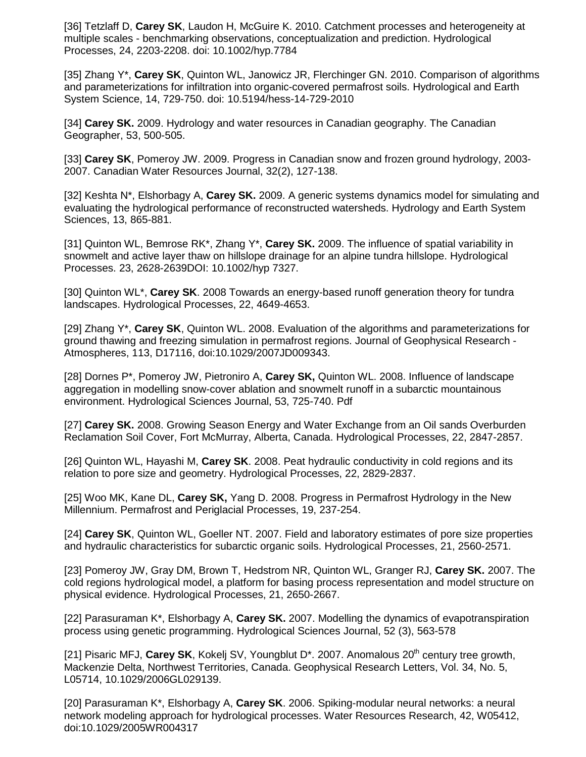[36] Tetzlaff D, **Carey SK**, Laudon H, McGuire K. 2010. Catchment processes and heterogeneity at multiple scales - benchmarking observations, conceptualization and prediction. Hydrological Processes, 24, 2203-2208. doi: 10.1002/hyp.7784

[35] Zhang Y\*, **Carey SK**, Quinton WL, Janowicz JR, Flerchinger GN. 2010. Comparison of algorithms and parameterizations for infiltration into organic-covered permafrost soils. Hydrological and Earth System Science, 14, 729-750. doi: 10.5194/hess-14-729-2010

[34] **Carey SK.** 2009. Hydrology and water resources in Canadian geography. The Canadian Geographer, 53, 500-505.

[33] **Carey SK**, Pomeroy JW. 2009. Progress in Canadian snow and frozen ground hydrology, 2003- 2007. Canadian Water Resources Journal, 32(2), 127-138.

[32] Keshta N\*, Elshorbagy A, **Carey SK.** 2009. A generic systems dynamics model for simulating and evaluating the hydrological performance of reconstructed watersheds. Hydrology and Earth System Sciences, 13, 865-881.

[31] Quinton WL, Bemrose RK\*, Zhang Y\*, **Carey SK.** 2009. The influence of spatial variability in snowmelt and active layer thaw on hillslope drainage for an alpine tundra hillslope. Hydrological Processes. 23, 2628-2639DOI: 10.1002/hyp 7327.

[30] Quinton WL\*, **Carey SK**. 2008 Towards an energy-based runoff generation theory for tundra landscapes. Hydrological Processes, 22, 4649-4653.

[29] Zhang Y\*, **Carey SK**, Quinton WL. 2008. Evaluation of the algorithms and parameterizations for ground thawing and freezing simulation in permafrost regions. Journal of Geophysical Research - Atmospheres, 113, D17116, doi:10.1029/2007JD009343.

[28] Dornes P\*, Pomeroy JW, Pietroniro A, **Carey SK,** Quinton WL. 2008. Influence of landscape aggregation in modelling snow-cover ablation and snowmelt runoff in a subarctic mountainous environment. Hydrological Sciences Journal, 53, 725-740. Pdf

[27] **Carey SK.** 2008. Growing Season Energy and Water Exchange from an Oil sands Overburden Reclamation Soil Cover, Fort McMurray, Alberta, Canada. Hydrological Processes, 22, 2847-2857.

[26] Quinton WL, Hayashi M, **Carey SK**. 2008. Peat hydraulic conductivity in cold regions and its relation to pore size and geometry. Hydrological Processes, 22, 2829-2837.

[25] Woo MK, Kane DL, **Carey SK,** Yang D. 2008. Progress in Permafrost Hydrology in the New Millennium. Permafrost and Periglacial Processes, 19, 237-254.

[24] **Carey SK**, Quinton WL, Goeller NT. 2007. Field and laboratory estimates of pore size properties and hydraulic characteristics for subarctic organic soils. Hydrological Processes, 21, 2560-2571.

[23] Pomeroy JW, Gray DM, Brown T, Hedstrom NR, Quinton WL, Granger RJ, **Carey SK.** 2007. The cold regions hydrological model, a platform for basing process representation and model structure on physical evidence. Hydrological Processes, 21, 2650-2667.

[22] Parasuraman K\*, Elshorbagy A, **Carey SK.** 2007. Modelling the dynamics of evapotranspiration process using genetic programming. Hydrological Sciences Journal, 52 (3), 563-578

[21] Pisaric MFJ, **Carey SK**, Kokelj SV, Youngblut D<sup>\*</sup>. 2007. Anomalous 20<sup>th</sup> century tree growth, Mackenzie Delta, Northwest Territories, Canada. Geophysical Research Letters, Vol. 34, No. 5, L05714, 10.1029/2006GL029139.

[20] Parasuraman K\*, Elshorbagy A, **Carey SK**. 2006. Spiking-modular neural networks: a neural network modeling approach for hydrological processes. Water Resources Research, 42, W05412, doi:10.1029/2005WR004317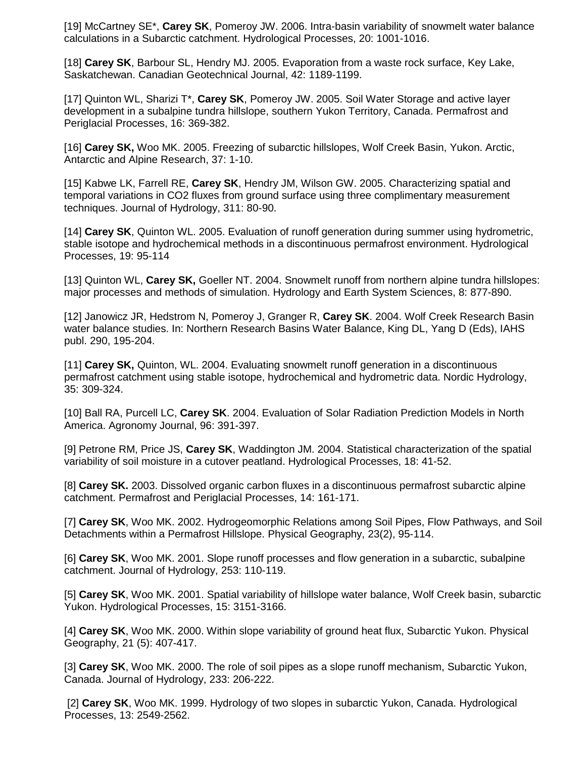[19] McCartney SE\*, **Carey SK**, Pomeroy JW. 2006. Intra-basin variability of snowmelt water balance calculations in a Subarctic catchment. Hydrological Processes, 20: 1001-1016.

[18] **Carey SK**, Barbour SL, Hendry MJ. 2005. Evaporation from a waste rock surface, Key Lake, Saskatchewan. Canadian Geotechnical Journal, 42: 1189-1199.

[17] Quinton WL, Sharizi T\*, **Carey SK**, Pomeroy JW. 2005. Soil Water Storage and active layer development in a subalpine tundra hillslope, southern Yukon Territory, Canada. Permafrost and Periglacial Processes, 16: 369-382.

[16] **Carey SK,** Woo MK. 2005. Freezing of subarctic hillslopes, Wolf Creek Basin, Yukon. Arctic, Antarctic and Alpine Research, 37: 1-10.

[15] Kabwe LK, Farrell RE, **Carey SK**, Hendry JM, Wilson GW. 2005. Characterizing spatial and temporal variations in CO2 fluxes from ground surface using three complimentary measurement techniques. Journal of Hydrology, 311: 80-90.

[14] **Carey SK**, Quinton WL. 2005. Evaluation of runoff generation during summer using hydrometric, stable isotope and hydrochemical methods in a discontinuous permafrost environment. Hydrological Processes, 19: 95-114

[13] Quinton WL, **Carey SK,** Goeller NT. 2004. Snowmelt runoff from northern alpine tundra hillslopes: major processes and methods of simulation. Hydrology and Earth System Sciences, 8: 877-890.

[12] Janowicz JR, Hedstrom N, Pomeroy J, Granger R, **Carey SK**. 2004. Wolf Creek Research Basin water balance studies. In: Northern Research Basins Water Balance, King DL, Yang D (Eds), IAHS publ. 290, 195-204.

[11] **Carey SK,** Quinton, WL. 2004. Evaluating snowmelt runoff generation in a discontinuous permafrost catchment using stable isotope, hydrochemical and hydrometric data. Nordic Hydrology, 35: 309-324.

[10] Ball RA, Purcell LC, **Carey SK**. 2004. Evaluation of Solar Radiation Prediction Models in North America. Agronomy Journal, 96: 391-397.

[9] Petrone RM, Price JS, **Carey SK**, Waddington JM. 2004. Statistical characterization of the spatial variability of soil moisture in a cutover peatland. Hydrological Processes, 18: 41-52.

[8] **Carey SK.** 2003. Dissolved organic carbon fluxes in a discontinuous permafrost subarctic alpine catchment. Permafrost and Periglacial Processes, 14: 161-171.

[7] **Carey SK**, Woo MK. 2002. Hydrogeomorphic Relations among Soil Pipes, Flow Pathways, and Soil Detachments within a Permafrost Hillslope. Physical Geography, 23(2), 95-114.

[6] **Carey SK**, Woo MK. 2001. Slope runoff processes and flow generation in a subarctic, subalpine catchment. Journal of Hydrology, 253: 110-119.

[5] **Carey SK**, Woo MK. 2001. Spatial variability of hillslope water balance, Wolf Creek basin, subarctic Yukon. Hydrological Processes, 15: 3151-3166.

[4] **Carey SK**, Woo MK. 2000. Within slope variability of ground heat flux, Subarctic Yukon. Physical Geography, 21 (5): 407-417.

[3] **Carey SK**, Woo MK. 2000. The role of soil pipes as a slope runoff mechanism, Subarctic Yukon, Canada. Journal of Hydrology, 233: 206-222.

[2] **Carey SK**, Woo MK. 1999. Hydrology of two slopes in subarctic Yukon, Canada. Hydrological Processes, 13: 2549-2562.